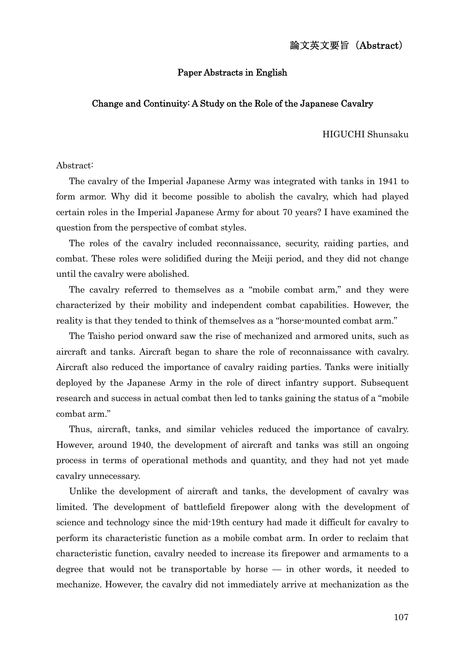### 論文英文要旨(Abstract)

#### Paper Abstracts in English

### Change and Continuity: A Study on the Role of the Japanese Cavalry

HIGUCHI Shunsaku

Abstract:

The cavalry of the Imperial Japanese Army was integrated with tanks in 1941 to form armor. Why did it become possible to abolish the cavalry, which had played certain roles in the Imperial Japanese Army for about 70 years? I have examined the question from the perspective of combat styles.

The roles of the cavalry included reconnaissance, security, raiding parties, and combat. These roles were solidified during the Meiji period, and they did not change until the cavalry were abolished.

The cavalry referred to themselves as a "mobile combat arm," and they were characterized by their mobility and independent combat capabilities. However, the reality is that they tended to think of themselves as a "horse-mounted combat arm."

The Taisho period onward saw the rise of mechanized and armored units, such as aircraft and tanks. Aircraft began to share the role of reconnaissance with cavalry. Aircraft also reduced the importance of cavalry raiding parties. Tanks were initially deployed by the Japanese Army in the role of direct infantry support. Subsequent research and success in actual combat then led to tanks gaining the status of a "mobile combat arm."

Thus, aircraft, tanks, and similar vehicles reduced the importance of cavalry. However, around 1940, the development of aircraft and tanks was still an ongoing process in terms of operational methods and quantity, and they had not yet made cavalry unnecessary.

Unlike the development of aircraft and tanks, the development of cavalry was limited. The development of battlefield firepower along with the development of science and technology since the mid-19th century had made it difficult for cavalry to perform its characteristic function as a mobile combat arm. In order to reclaim that characteristic function, cavalry needed to increase its firepower and armaments to a degree that would not be transportable by horse — in other words, it needed to mechanize. However, the cavalry did not immediately arrive at mechanization as the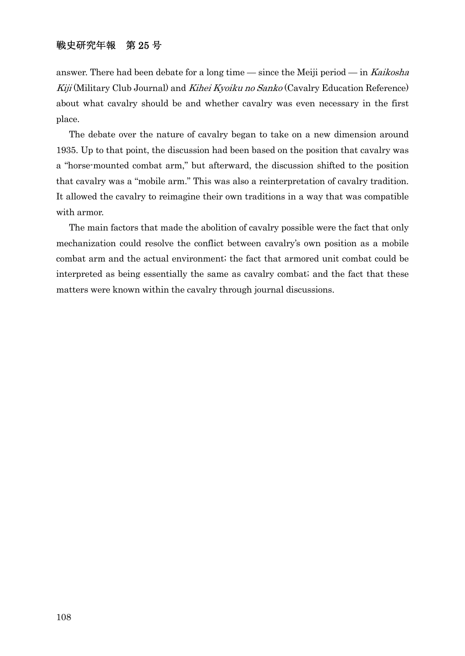# 戦史研究年報 第 25 号

answer. There had been debate for a long time — since the Meiji period — in Kaikosha Kiji (Military Club Journal) and Kihei Kyoiku no Sanko (Cavalry Education Reference) about what cavalry should be and whether cavalry was even necessary in the first place.

The debate over the nature of cavalry began to take on a new dimension around 1935. Up to that point, the discussion had been based on the position that cavalry was a "horse-mounted combat arm," but afterward, the discussion shifted to the position that cavalry was a "mobile arm." This was also a reinterpretation of cavalry tradition. It allowed the cavalry to reimagine their own traditions in a way that was compatible with armor.

The main factors that made the abolition of cavalry possible were the fact that only mechanization could resolve the conflict between cavalry's own position as a mobile combat arm and the actual environment; the fact that armored unit combat could be interpreted as being essentially the same as cavalry combat; and the fact that these matters were known within the cavalry through journal discussions.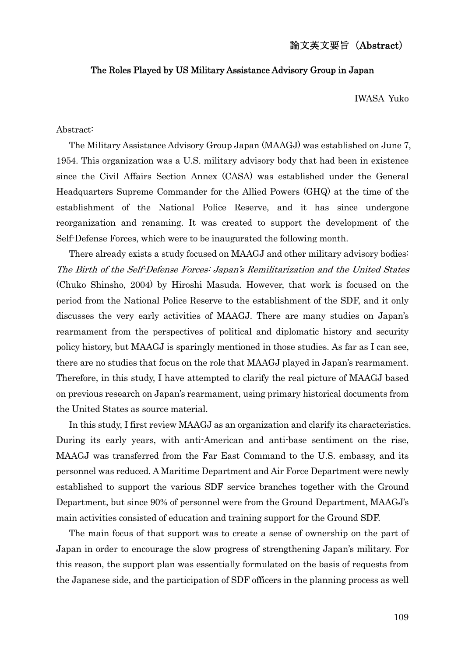#### The Roles Played by US Military Assistance Advisory Group in Japan

IWASA Yuko

#### Abstract:

The Military Assistance Advisory Group Japan (MAAGJ) was established on June 7, 1954. This organization was a U.S. military advisory body that had been in existence since the Civil Affairs Section Annex (CASA) was established under the General Headquarters Supreme Commander for the Allied Powers (GHQ) at the time of the establishment of the National Police Reserve, and it has since undergone reorganization and renaming. It was created to support the development of the Self-Defense Forces, which were to be inaugurated the following month.

There already exists a study focused on MAAGJ and other military advisory bodies: The Birth of the Self-Defense Forces: Japan's Remilitarization and the United States (Chuko Shinsho, 2004) by Hiroshi Masuda. However, that work is focused on the period from the National Police Reserve to the establishment of the SDF, and it only discusses the very early activities of MAAGJ. There are many studies on Japan's rearmament from the perspectives of political and diplomatic history and security policy history, but MAAGJ is sparingly mentioned in those studies. As far as I can see, there are no studies that focus on the role that MAAGJ played in Japan's rearmament. Therefore, in this study, I have attempted to clarify the real picture of MAAGJ based on previous research on Japan's rearmament, using primary historical documents from the United States as source material.

In this study, I first review MAAGJ as an organization and clarify its characteristics. During its early years, with anti-American and anti-base sentiment on the rise, MAAGJ was transferred from the Far East Command to the U.S. embassy, and its personnel was reduced. A Maritime Department and Air Force Department were newly established to support the various SDF service branches together with the Ground Department, but since 90% of personnel were from the Ground Department, MAAGJ's main activities consisted of education and training support for the Ground SDF.

The main focus of that support was to create a sense of ownership on the part of Japan in order to encourage the slow progress of strengthening Japan's military. For this reason, the support plan was essentially formulated on the basis of requests from the Japanese side, and the participation of SDF officers in the planning process as well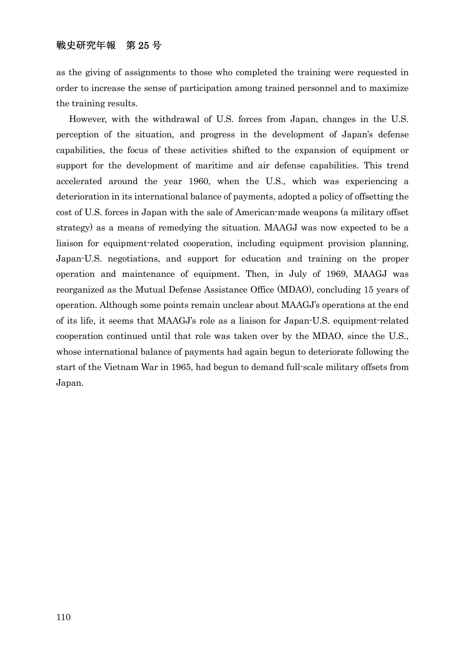### 戦史研究年報 第 25 号

as the giving of assignments to those who completed the training were requested in order to increase the sense of participation among trained personnel and to maximize the training results.

However, with the withdrawal of U.S. forces from Japan, changes in the U.S. perception of the situation, and progress in the development of Japan's defense capabilities, the focus of these activities shifted to the expansion of equipment or support for the development of maritime and air defense capabilities. This trend accelerated around the year 1960, when the U.S., which was experiencing a deterioration in its international balance of payments, adopted a policy of offsetting the cost of U.S. forces in Japan with the sale of American-made weapons (a military offset strategy) as a means of remedying the situation. MAAGJ was now expected to be a liaison for equipment-related cooperation, including equipment provision planning, Japan-U.S. negotiations, and support for education and training on the proper operation and maintenance of equipment. Then, in July of 1969, MAAGJ was reorganized as the Mutual Defense Assistance Office (MDAO), concluding 15 years of operation. Although some points remain unclear about MAAGJ's operations at the end of its life, it seems that MAAGJ's role as a liaison for Japan-U.S. equipment-related cooperation continued until that role was taken over by the MDAO, since the U.S., whose international balance of payments had again begun to deteriorate following the start of the Vietnam War in 1965, had begun to demand full-scale military offsets from Japan.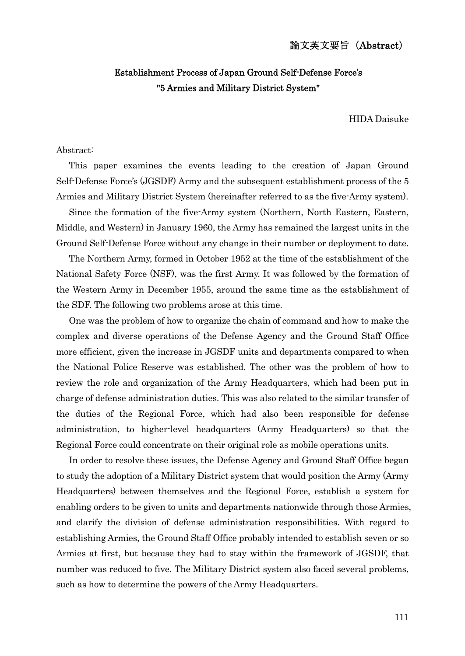## 論文英文要旨(Abstract)

# Establishment Process of Japan Ground Self-Defense Force's "5 Armies and Military District System"

HIDA Daisuke

#### Abstract:

This paper examines the events leading to the creation of Japan Ground Self-Defense Force's (JGSDF) Army and the subsequent establishment process of the 5 Armies and Military District System (hereinafter referred to as the five-Army system).

Since the formation of the five-Army system (Northern, North Eastern, Eastern, Middle, and Western) in January 1960, the Army has remained the largest units in the Ground Self-Defense Force without any change in their number or deployment to date.

The Northern Army, formed in October 1952 at the time of the establishment of the National Safety Force (NSF), was the first Army. It was followed by the formation of the Western Army in December 1955, around the same time as the establishment of the SDF. The following two problems arose at this time.

One was the problem of how to organize the chain of command and how to make the complex and diverse operations of the Defense Agency and the Ground Staff Office more efficient, given the increase in JGSDF units and departments compared to when the National Police Reserve was established. The other was the problem of how to review the role and organization of the Army Headquarters, which had been put in charge of defense administration duties. This was also related to the similar transfer of the duties of the Regional Force, which had also been responsible for defense administration, to higher-level headquarters (Army Headquarters) so that the Regional Force could concentrate on their original role as mobile operations units.

In order to resolve these issues, the Defense Agency and Ground Staff Office began to study the adoption of a Military District system that would position the Army (Army Headquarters) between themselves and the Regional Force, establish a system for enabling orders to be given to units and departments nationwide through those Armies, and clarify the division of defense administration responsibilities. With regard to establishing Armies, the Ground Staff Office probably intended to establish seven or so Armies at first, but because they had to stay within the framework of JGSDF, that number was reduced to five. The Military District system also faced several problems, such as how to determine the powers of the Army Headquarters.